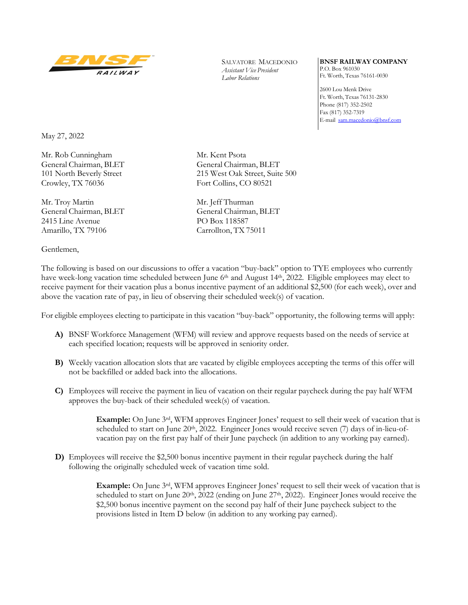

SALVATORE MACEDONIO *Assistant Vice President Labor Relations* 

**BNSF RAILWAY COMPANY**  P.O. Box 961030 Ft. Worth, Texas 76161-0030

2600 Lou Menk Drive Ft. Worth, Texas 76131-2830 Phone (817) 352-2502 Fax (817) 352-7319 E-mail sam.macedonio@bnsf.com

May 27, 2022

Mr. Rob Cunningham Mr. Kent Psota Crowley, TX 76036 Fort Collins, CO 80521

Mr. Troy Martin Mr. Jeff Thurman 2415 Line Avenue PO Box 118587 Amarillo, TX 79106 Carrollton, TX 75011

Gentlemen,

General Chairman, BLET General Chairman, BLET 101 North Beverly Street 215 West Oak Street, Suite 500

General Chairman, BLET General Chairman, BLET

The following is based on our discussions to offer a vacation "buy-back" option to TYE employees who currently have week-long vacation time scheduled between June 6<sup>th</sup> and August 14<sup>th</sup>, 2022. Eligible employees may elect to receive payment for their vacation plus a bonus incentive payment of an additional \$2,500 (for each week), over and above the vacation rate of pay, in lieu of observing their scheduled week(s) of vacation.

For eligible employees electing to participate in this vacation "buy-back" opportunity, the following terms will apply:

- **A)** BNSF Workforce Management (WFM) will review and approve requests based on the needs of service at each specified location; requests will be approved in seniority order.
- **B)** Weekly vacation allocation slots that are vacated by eligible employees accepting the terms of this offer will not be backfilled or added back into the allocations.
- **C)** Employees will receive the payment in lieu of vacation on their regular paycheck during the pay half WFM approves the buy-back of their scheduled week(s) of vacation.

**Example:** On June 3rd, WFM approves Engineer Jones' request to sell their week of vacation that is scheduled to start on June  $20<sup>th</sup>$ ,  $2022$ . Engineer Jones would receive seven (7) days of in-lieu-ofvacation pay on the first pay half of their June paycheck (in addition to any working pay earned).

**D)** Employees will receive the \$2,500 bonus incentive payment in their regular paycheck during the half following the originally scheduled week of vacation time sold.

> **Example:** On June 3rd, WFM approves Engineer Jones' request to sell their week of vacation that is scheduled to start on June 20<sup>th</sup>, 2022 (ending on June 27<sup>th</sup>, 2022). Engineer Jones would receive the \$2,500 bonus incentive payment on the second pay half of their June paycheck subject to the provisions listed in Item D below (in addition to any working pay earned).